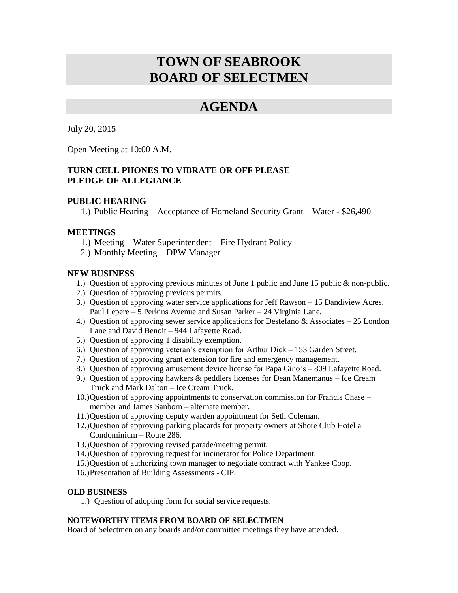# **TOWN OF SEABROOK BOARD OF SELECTMEN**

## **AGENDA**

July 20, 2015

Open Meeting at 10:00 A.M.

### **TURN CELL PHONES TO VIBRATE OR OFF PLEASE PLEDGE OF ALLEGIANCE**

#### **PUBLIC HEARING**

1.) Public Hearing – Acceptance of Homeland Security Grant – Water - \$26,490

#### **MEETINGS**

- 1.) Meeting Water Superintendent Fire Hydrant Policy
- 2.) Monthly Meeting DPW Manager

#### **NEW BUSINESS**

- 1.) Question of approving previous minutes of June 1 public and June 15 public & non-public.
- 2.) Question of approving previous permits.
- 3.) Question of approving water service applications for Jeff Rawson 15 Dandiview Acres, Paul Lepere – 5 Perkins Avenue and Susan Parker – 24 Virginia Lane.
- 4.) Question of approving sewer service applications for Destefano & Associates 25 London Lane and David Benoit – 944 Lafayette Road.
- 5.) Question of approving 1 disability exemption.
- 6.) Question of approving veteran's exemption for Arthur Dick 153 Garden Street.
- 7.) Question of approving grant extension for fire and emergency management.
- 8.) Question of approving amusement device license for Papa Gino's 809 Lafayette Road.
- 9.) Question of approving hawkers & peddlers licenses for Dean Manemanus Ice Cream Truck and Mark Dalton – Ice Cream Truck.
- 10.)Question of approving appointments to conservation commission for Francis Chase member and James Sanborn – alternate member.
- 11.)Question of approving deputy warden appointment for Seth Coleman.
- 12.)Question of approving parking placards for property owners at Shore Club Hotel a Condominium – Route 286.
- 13.)Question of approving revised parade/meeting permit.
- 14.)Question of approving request for incinerator for Police Department.
- 15.)Question of authorizing town manager to negotiate contract with Yankee Coop.
- 16.)Presentation of Building Assessments CIP.

#### **OLD BUSINESS**

1.) Question of adopting form for social service requests.

#### **NOTEWORTHY ITEMS FROM BOARD OF SELECTMEN**

Board of Selectmen on any boards and/or committee meetings they have attended.